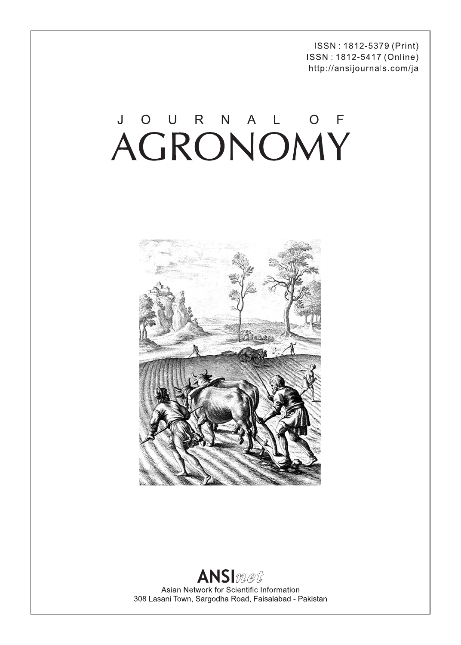ISSN: 1812-5379 (Print) ISSN: 1812-5417 (Online) http://ansijournals.com/ja

# JOURNAL OF



### **ANSI**met Asian Network for Scientific Information 308 Lasani Town, Sargodha Road, Faisalabad - Pakistan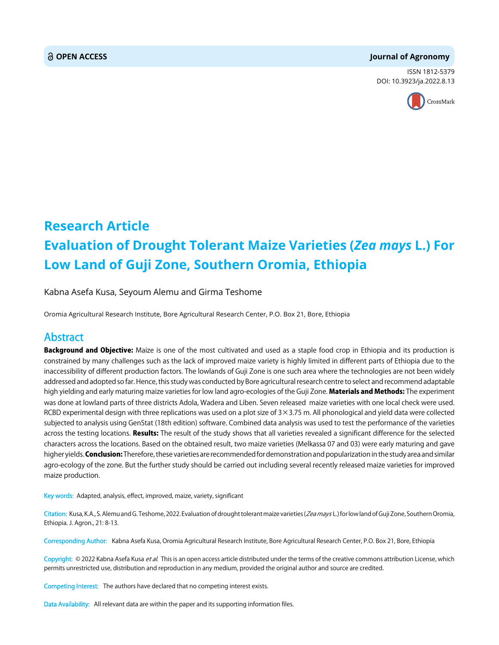#### **OPEN ACCESS Journal of Agronomy**

ISSN 1812-5379 DOI: 10.3923/ja.2022.8.13



## **Research Article Evaluation of Drought Tolerant Maize Varieties (***Zea mays* **L.) For Low Land of Guji Zone, Southern Oromia, Ethiopia**

Kabna Asefa Kusa, Seyoum Alemu and Girma Teshome

Oromia Agricultural Research Institute, Bore Agricultural Research Center, P.O. Box 21, Bore, Ethiopia

#### Abstract

Background and Objective: Maize is one of the most cultivated and used as a staple food crop in Ethiopia and its production is constrained by many challenges such as the lack of improved maize variety is highly limited in different parts of Ethiopia due to the inaccessibility of different production factors. The lowlands of Guji Zone is one such area where the technologies are not been widely addressed and adopted so far. Hence, this study was conducted by Bore agricultural research centre to select and recommend adaptable high yielding and early maturing maize varieties for low land agro-ecologies of the Guji Zone. Materials and Methods: The experiment was done at lowland parts of three districts Adola, Wadera and Liben. Seven released maize varieties with one local check were used. RCBD experimental design with three replications was used on a plot size of  $3 \times 3.75$  m. All phonological and yield data were collected subjected to analysis using GenStat (18th edition) software. Combined data analysis was used to test the performance of the varieties across the testing locations. Results: The result of the study shows that all varieties revealed a significant difference for the selected characters across the locations. Based on the obtained result, two maize varieties (Melkassa 07 and 03) were early maturing and gave higher yields. **Conclusion:** Therefore, these varieties are recommended for demonstration and popularization in the study area and similar agro-ecology of the zone. But the further study should be carried out including several recently released maize varieties for improved maize production.

Key words: Adapted, analysis, effect, improved, maize, variety, significant

Citation: Kusa, K.A., S. Alemu and G. Teshome, 2022. Evaluation of drought tolerant maize varieties (Zea mays L.) for low land of Guji Zone, Southern Oromia, Ethiopia. J. Agron., 21: 8-13.

Corresponding Author: Kabna Asefa Kusa, Oromia Agricultural Research Institute, Bore Agricultural Research Center, P.O. Box 21, Bore, Ethiopia

Copyright: © 2022 Kabna Asefa Kusa et al. This is an open access article distributed under the terms of the creative commons attribution License, which permits unrestricted use, distribution and reproduction in any medium, provided the original author and source are credited.

Competing Interest: The authors have declared that no competing interest exists.

Data Availability: All relevant data are within the paper and its supporting information files.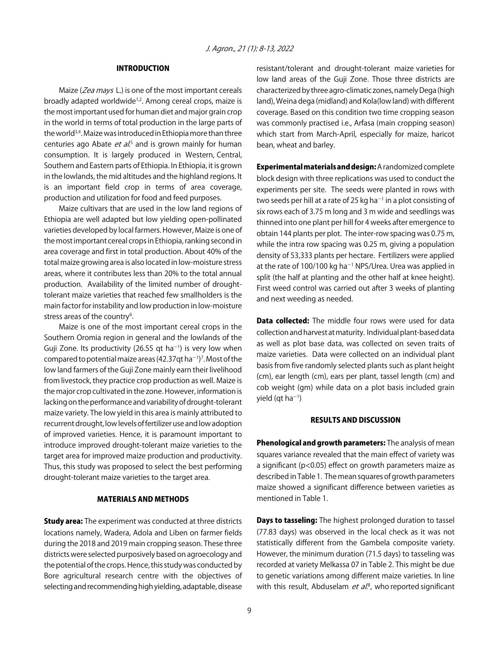#### INTRODUCTION

Maize (Zea mays L.) is one of the most important cereals broadly adapted worldwide<sup>1,2</sup>. Among cereal crops, maize is the most important used for human diet and major grain crop in the world in terms of total production in the large parts of the world<sup>3,4</sup>. Maize was introduced in Ethiopia more than three centuries ago Abate *et al*.<sup>5</sup> and is grown mainly for human consumption. It is largely produced in Western, Central, Southern and Eastern parts of Ethiopia. In Ethiopia, it is grown in the lowlands, the mid altitudes and the highland regions. It is an important field crop in terms of area coverage, production and utilization for food and feed purposes.

Maize cultivars that are used in the low land regions of Ethiopia are well adapted but low yielding open-pollinated varieties developed by local farmers. However, Maize is one of the most important cereal crops in Ethiopia, ranking second in area coverage and first in total production. About 40% of the total maize growing area is also located in low-moisture stress areas, where it contributes less than 20% to the total annual production. Availability of the limited number of droughttolerant maize varieties that reached few smallholders is the main factor for instability and low production in low-moisture stress areas of the country<sup>6</sup>.

Maize is one of the most important cereal crops in the Southern Oromia region in general and the lowlands of the Guji Zone. Its productivity (26.55 qt ha<sup>-1</sup>) is very low when compared to potential maize areas (42.37qt ha $^{-1}$ )<sup>7</sup>. Most of the low land farmers of the Guji Zone mainly earn their livelihood from livestock, they practice crop production as well. Maize is the major crop cultivated in the zone. However, information is lacking on the performance and variability of drought-tolerant maize variety. The low yield in this area is mainly attributed to recurrent drought, low levels of fertilizer use and low adoption of improved varieties. Hence, it is paramount important to introduce improved drought-tolerant maize varieties to the target area for improved maize production and productivity. Thus, this study was proposed to select the best performing drought-tolerant maize varieties to the target area.

#### MATERIALS AND METHODS

**Study area:** The experiment was conducted at three districts locations namely, Wadera, Adola and Liben on farmer fields during the 2018 and 2019 main cropping season. These three districts were selected purposively based on agroecology and the potential of the crops. Hence, this study was conducted by Bore agricultural research centre with the objectives of selecting and recommending high yielding, adaptable, disease

resistant/tolerant and drought-tolerant maize varieties for low land areas of the Guji Zone. Those three districts are characterized by three agro-climatic zones, namely Dega (high land), Weina dega (midland) and Kola(low land) with different coverage. Based on this condition two time cropping season was commonly practised i.e., Arfasa (main cropping season) which start from March-April, especially for maize, haricot bean, wheat and barley.

Experimental materials and design: A randomized complete block design with three replications was used to conduct the experiments per site. The seeds were planted in rows with two seeds per hill at a rate of 25 kg ha $^{-1}$  in a plot consisting of six rows each of 3.75 m long and 3 m wide and seedlings was thinned into one plant per hill for 4 weeks after emergence to obtain 144 plants per plot. The inter-row spacing was 0.75 m, while the intra row spacing was 0.25 m, giving a population density of 53,333 plants per hectare. Fertilizers were applied at the rate of 100/100 kg ha<sup>-1</sup> NPS/Urea. Urea was applied in split (the half at planting and the other half at knee height). First weed control was carried out after 3 weeks of planting and next weeding as needed.

Data collected: The middle four rows were used for data collection and harvest at maturity. Individual plant-based data as well as plot base data, was collected on seven traits of maize varieties. Data were collected on an individual plant basis from five randomly selected plants such as plant height (cm), ear length (cm), ears per plant, tassel length (cm) and cob weight (gm) while data on a plot basis included grain yield (qt ha $^{-1}$ )

#### RESULTS AND DISCUSSION

Phenological and growth parameters: The analysis of mean squares variance revealed that the main effect of variety was a significant (p<0.05) effect on growth parameters maize as described in Table 1. The mean squares of growth parameters maize showed a significant difference between varieties as mentioned in Table 1.

**Days to tasseling:** The highest prolonged duration to tassel (77.83 days) was observed in the local check as it was not statistically different from the Gambela composite variety. However, the minimum duration (71.5 days) to tasseling was recorded at variety Melkassa 07 in Table 2. This might be due to genetic variations among different maize varieties. In line with this result, Abduselam *et al*.<sup>8</sup>, who reported significant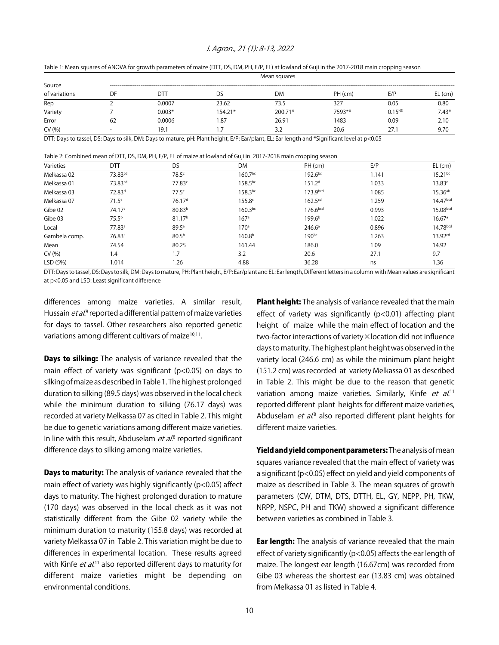#### J. Agron., 21 (1): 8-13, 2022

Table 1: Mean squares of ANOVA for growth parameters of maize (DTT, DS, DM, PH, E/P, EL) at lowland of Guji in the 2017-2018 main cropping season

|               | Mean squares             |          |           |           |         |             |           |
|---------------|--------------------------|----------|-----------|-----------|---------|-------------|-----------|
| Source        |                          |          |           |           |         |             |           |
| of variations | DF                       | DТ       | DS        | <b>DM</b> | PH (cm) | E/P         | $EL$ (cm) |
| Rep           |                          | 0.0007   | 23.62     | 73.5      | 327     | 0.05        | 0.80      |
| Variety       |                          | $0.003*$ | $154.21*$ | 200.71*   | 7593**  | $0.15^{NS}$ | $7.43*$   |
| Error         | 62                       | 0.0006   | .87       | 26.91     | 1483    | 0.09        | 2.10      |
| CV(% )        | $\overline{\phantom{0}}$ | 19.1     | 1.7       | 3)<br>ے.د | 20.6    | 27.1        | 9.70      |

DTT: Days to tassel, DS: Days to silk, DM: Days to mature, pH: Plant height, E/P: Ear/plant, EL: Ear length and \*Significant level at p<0.05

Table 2: Combined mean of DTT, DS, DM, PH, E/P, EL of maize at lowland of Guji in 2017-2018 main cropping season

| Varieties     | DTT                 | <b>DS</b>          | DM                 | PH (cm)             | E/P   | $EL$ (cm)            |
|---------------|---------------------|--------------------|--------------------|---------------------|-------|----------------------|
| Melkassa 02   | 73.83 <sup>cd</sup> | 78.5 <sup>c</sup>  | $160.7^{bc}$       | $192.6^{bc}$        | 1.141 | $15.21^{bc}$         |
| Melkassa 01   | 73.83 <sup>cd</sup> | 77.83c             | $158.5^{bc}$       | 151.2 <sup>d</sup>  | 1.033 | $13.83^{d}$          |
| Melkassa 03   | 72.83 <sup>d</sup>  | 77.5 <sup>c</sup>  | 158.3bc            | 173.9bcd            | 1.085 | $15.36^{ab}$         |
| Melkassa 07   | $71.5^e$            | 76.17 <sup>d</sup> | 155.8 <sup>c</sup> | 162.5 <sup>cd</sup> | 1.259 | 14.47 <sup>bcd</sup> |
| Gibe 02       | 74.17c              | 80.83 <sup>b</sup> | $160.3^{bc}$       | 176.6bcd            | 0.993 | 15.08 <sub>bcd</sub> |
| Gibe 03       | 75.5 <sup>b</sup>   | 81.17 <sup>b</sup> | 167 <sup>a</sup>   | 199.6 <sup>b</sup>  | 1.022 | 16.67 <sup>a</sup>   |
| Local         | 77.83 <sup>a</sup>  | 89.5a              | 170 <sup>a</sup>   | $246.6^{\circ}$     | 0.896 | 14.78bcd             |
| Gambela comp. | 76.83 <sup>a</sup>  | 80.5 <sup>b</sup>  | 160.8 <sup>b</sup> | 190bc               | 1.263 | 13.92 <sup>cd</sup>  |
| Mean          | 74.54               | 80.25              | 161.44             | 186.0               | 1.09  | 14.92                |
| CV(% )        | 1.4                 | 1.7                | 3.2                | 20.6                | 27.1  | 9.7                  |
| LSD (5%)      | 1.014               | 1.26               | 4.88               | 36.28               | ns    | 1.36                 |

DTT: Days to tassel, DS: Days to silk, DM: Days to mature, PH: Plant height, E/P: Ear/plant and EL: Ear length, Different letters in a column with Mean values are significant at p<0.05 and LSD: Least significant difference

differences among maize varieties. A similar result, Hussain *et al*.<sup>9</sup> reported a differential pattern of maize varieties for days to tassel. Other researchers also reported genetic variations among different cultivars of maize<sup>10,11</sup>.

**Days to silking:** The analysis of variance revealed that the main effect of variety was significant (p<0.05) on days to silking of maize as described in Table 1. The highest prolonged duration to silking (89.5 days) was observed in the local check while the minimum duration to silking (76.17 days) was recorded at variety Melkassa 07 as cited in Table 2. This might be due to genetic variations among different maize varieties. In line with this result, Abduselam *et al*.<sup>8</sup> reported significant difference days to silking among maize varieties.

**Days to maturity:** The analysis of variance revealed that the main effect of variety was highly significantly (p<0.05) affect days to maturity. The highest prolonged duration to mature (170 days) was observed in the local check as it was not statistically different from the Gibe 02 variety while the minimum duration to maturity (155.8 days) was recorded at variety Melkassa 07 in Table 2. This variation might be due to differences in experimental location. These results agreed with Kinfe *et al*.<sup>11</sup> also reported different days to maturity for different maize varieties might be depending on environmental conditions.

Plant height: The analysis of variance revealed that the main effect of variety was significantly (p<0.01) affecting plant height of maize while the main effect of location and the two-factor interactions of variety×location did not influence days to maturity. The highest plant height was observed in the variety local (246.6 cm) as while the minimum plant height (151.2 cm) was recorded at variety Melkassa 01 as described in Table 2. This might be due to the reason that genetic variation among maize varieties. Similarly, Kinfe et al.<sup>11</sup> reported different plant heights for different maize varieties, Abduselam *et al*.<sup>8</sup> also reported different plant heights for different maize varieties.

Yield and yield component parameters: The analysis of mean squares variance revealed that the main effect of variety was a significant (p<0.05) effect on yield and yield components of maize as described in Table 3. The mean squares of growth parameters (CW, DTM, DTS, DTTH, EL, GY, NEPP, PH, TKW, NRPP, NSPC, PH and TKW) showed a significant difference between varieties as combined in Table 3.

**Ear length:** The analysis of variance revealed that the main effect of variety significantly (p<0.05) affects the ear length of maize. The longest ear length (16.67cm) was recorded from Gibe 03 whereas the shortest ear (13.83 cm) was obtained from Melkassa 01 as listed in Table 4.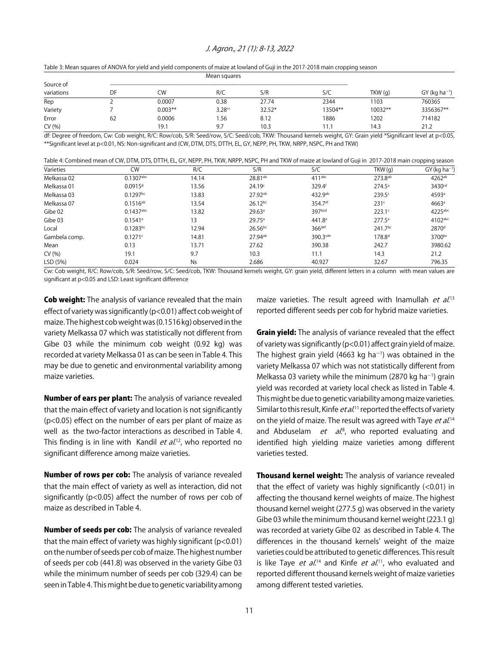#### J. Agron., 21 (1): 8-13, 2022

| Table 3: Mean squares of ANOVA for yield and yield components of maize at lowland of Guji in the 2017-2018 main cropping season |  |  |  |
|---------------------------------------------------------------------------------------------------------------------------------|--|--|--|
|---------------------------------------------------------------------------------------------------------------------------------|--|--|--|

| Mean squares |    |           |                    |          |         |         |                             |  |
|--------------|----|-----------|--------------------|----------|---------|---------|-----------------------------|--|
| Source of    |    |           |                    |          |         |         |                             |  |
| variations   | DF | CW        | R/C                | S/R      | S/C     | TKW(q)  | $GY$ (kg ha <sup>-1</sup> ) |  |
| Rep          |    | 0.0007    | 0.38               | 27.74    | 2344    | 1103    | 760365                      |  |
| Variety      |    | $0.003**$ | 3.28 <sup>ns</sup> | $32.52*$ | 13504** | 10032** | 3356367**                   |  |
| Error        | 62 | 0.0006    | 1.56               | 8.12     | 1886    | 1202    | 714182                      |  |
| CV(% )       |    | 19.1      | 9.7                | 10.3     | 1.1     | 14.3    | 21.2                        |  |

df: Degree of freedom, Cw: Cob weight, R/C: Row/cob, S/R: Seed/row, S/C: Seed/cob, TKW: Thousand kernels weight, GY: Grain yield \*Significant level at p<0.05, \*\*Significant level at p<0.01, NS: Non-significant and (CW, DTM, DTS, DTTH, EL, GY, NEPP, PH, TKW, NRPP, NSPC, PH and TKW)

|  |  |  | Table 4: Combined mean of CW, DTM, DTS, DTTH, EL, GY, NEPP, PH, TKW, NRPP, NSPC, PH and TKW of maize at lowland of Guji in 2017-2018 main cropping season |  |  |
|--|--|--|-----------------------------------------------------------------------------------------------------------------------------------------------------------|--|--|
|--|--|--|-----------------------------------------------------------------------------------------------------------------------------------------------------------|--|--|

| Varieties     | <b>CW</b>              | R/C   | S/R                 | S/C                    | TKW(g)              | $GY(kg ha^{-1})$    |
|---------------|------------------------|-------|---------------------|------------------------|---------------------|---------------------|
| Melkassa 02   | $0.1307$ abc           | 14.14 | 28.81 <sup>ab</sup> | $411$ <sup>abc</sup>   | 273.8 <sup>ab</sup> | $4262^{ab}$         |
| Melkassa 01   | $0.0915$ <sup>d</sup>  | 13.56 | 24.19 <sup>c</sup>  | 329.4f                 | $274.5^a$           | 3430 <sup>cd</sup>  |
| Melkassa 03   | $0.1297$ <sub>bc</sub> | 13.83 | 27.92ab             | 432.9ab                | 239.5c              | 4593ª               |
| Melkassa 07   | $0.1516^{ab}$          | 13.54 | $26.12^{bc}$        | 354.7 <sup>ef</sup>    | 231 <sup>c</sup>    | $4663$ <sup>a</sup> |
| Gibe 02       | $0.1437$ abc           | 13.82 | 29.63 <sup>a</sup>  | 397bcd                 | $223.1^c$           | 4225abc             |
| Gibe 03       | $0.1541$ <sup>a</sup>  | 13    | $29.75^{\circ}$     | 441.8 <sup>a</sup>     | $277.5^a$           | $4102$ abc          |
| Local         | $0.1283^{bc}$          | 12.94 | $26.56$ bc          | 366 <sup>def</sup>     | 241.7bc             | 2870 <sup>d</sup>   |
| Gambela comp. | 0.1271c                | 14.81 | 27.94 <sup>ab</sup> | $390.3$ <sup>cde</sup> | 178.8 <sup>d</sup>  | 3700bc              |
| Mean          | 0.13                   | 13.71 | 27.62               | 390.38                 | 242.7               | 3980.62             |
| CV(% )        | 19.1                   | 9.7   | 10.3                | 11.1                   | 14.3                | 21.2                |
| LSD (5%)      | 0.024                  | Ns    | 2.686               | 40.927                 | 32.67               | 796.35              |

Cw: Cob weight, R/C: Row/cob, S/R: Seed/row, S/C: Seed/cob, TKW: Thousand kernels weight, GY: grain yield, different letters in a column with mean values are significant at p<0.05 and LSD: Least significant difference

Cob weight: The analysis of variance revealed that the main effect of variety was significantly (p<0.01) affect cob weight of maize. The highest cob weight was (0.1516 kg) observed in the variety Melkassa 07 which was statistically not different from Gibe 03 while the minimum cob weight (0.92 kg) was recorded at variety Melkassa 01 as can be seen in Table 4. This may be due to genetic and environmental variability among maize varieties.

Number of ears per plant: The analysis of variance revealed that the main effect of variety and location is not significantly (p<0.05) effect on the number of ears per plant of maize as well as the two-factor interactions as described in Table 4. This finding is in line with Kandil *et al*.<sup>12</sup>, who reported no significant difference among maize varieties.

Number of rows per cob: The analysis of variance revealed that the main effect of variety as well as interaction, did not significantly (p<0.05) affect the number of rows per cob of maize as described in Table 4.

Number of seeds per cob: The analysis of variance revealed that the main effect of variety was highly significant ( $p < 0.01$ ) on the number of seeds per cob of maize. The highest number of seeds per cob (441.8) was observed in the variety Gibe 03 while the minimum number of seeds per cob (329.4) can be seen in Table 4. This might be due to genetic variability among

maize varieties. The result agreed with Inamullah et al.<sup>13</sup> reported different seeds per cob for hybrid maize varieties.

**Grain yield:** The analysis of variance revealed that the effect of variety was significantly (p<0.01) affect grain yield of maize. The highest grain yield (4663 kg ha $^{-1}$ ) was obtained in the variety Melkassa 07 which was not statistically different from Melkassa 03 variety while the minimum (2870 kg ha $^{-1}$ ) grain yield was recorded at variety local check as listed in Table 4. This might be due to genetic variability among maize varieties. Similar to this result, Kinfe *et al*.<sup>11</sup> reported the effects of variety on the yield of maize. The result was agreed with Taye *et al*.<sup>14</sup> and Abduselam et al.<sup>8</sup>, who reported evaluating and identified high yielding maize varieties among different varieties tested.

Thousand kernel weight: The analysis of variance revealed that the effect of variety was highly significantly  $(<0.01$ ) in affecting the thousand kernel weights of maize. The highest thousand kernel weight (277.5 g) was observed in the variety Gibe 03 while the minimum thousand kernel weight (223.1 g) was recorded at variety Gibe 02 as described in Table 4. The differences in the thousand kernels' weight of the maize varieties could be attributed to genetic differences. This result is like Taye *et al*.<sup>14</sup> and Kinfe *et al*.<sup>11</sup>, who evaluated and reported different thousand kernels weight of maize varieties among different tested varieties.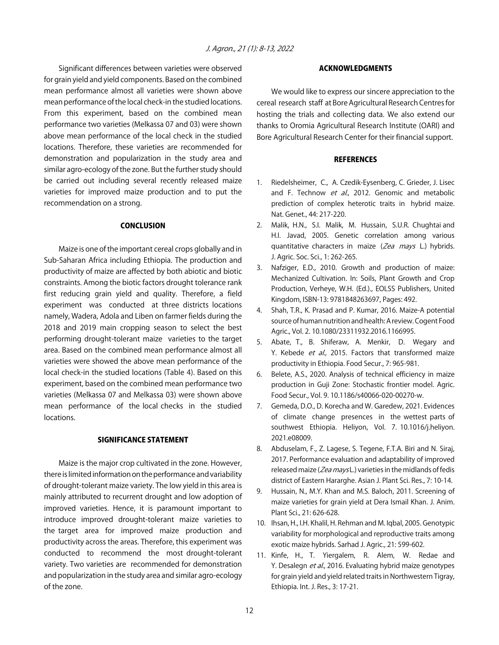Significant differences between varieties were observed for grain yield and yield components. Based on the combined mean performance almost all varieties were shown above mean performance of the local check-in the studied locations. From this experiment, based on the combined mean performance two varieties (Melkassa 07 and 03) were shown above mean performance of the local check in the studied locations. Therefore, these varieties are recommended for demonstration and popularization in the study area and similar agro-ecology of the zone. But the further study should be carried out including several recently released maize varieties for improved maize production and to put the recommendation on a strong.

#### **CONCLUSION**

Maize is one of the important cereal crops globally and in Sub-Saharan Africa including Ethiopia. The production and productivity of maize are affected by both abiotic and biotic constraints. Among the biotic factors drought tolerance rank first reducing grain yield and quality. Therefore, a field experiment was conducted at three districts locations namely, Wadera, Adola and Liben on farmer fields during the 2018 and 2019 main cropping season to select the best performing drought-tolerant maize varieties to the target area. Based on the combined mean performance almost all varieties were showed the above mean performance of the local check-in the studied locations (Table 4). Based on this experiment, based on the combined mean performance two varieties (Melkassa 07 and Melkassa 03) were shown above mean performance of the local checks in the studied locations.

#### SIGNIFICANCE STATEMENT

Maize is the major crop cultivated in the zone. However, there is limited information on the performance and variability of drought-tolerant maize variety. The low yield in this area is mainly attributed to recurrent drought and low adoption of improved varieties. Hence, it is paramount important to introduce improved drought-tolerant maize varieties to the target area for improved maize production and productivity across the areas. Therefore, this experiment was conducted to recommend the most drought-tolerant variety. Two varieties are recommended for demonstration and popularization in the study area and similar agro-ecology of the zone.

#### ACKNOWLEDGMENTS

We would like to express our sincere appreciation to the cereal research staff at Bore Agricultural Research Centres for hosting the trials and collecting data. We also extend our thanks to Oromia Agricultural Research Institute (OARI) and Bore Agricultural Research Center for their financial support.

#### **REFERENCES**

- 1. Riedelsheimer, C., A. Czedik-Eysenberg, C. Grieder, J. Lisec and F. Technow et al., 2012. Genomic and metabolic prediction of complex heterotic traits in hybrid maize. Nat. Genet., 44: 217-220.
- 2. Malik, H.N., S.I. Malik, M. Hussain, S.U.R. Chughtai and H.I. Javad, 2005. Genetic correlation among various quantitative characters in maize (Zea mays L.) hybrids. J. Agric. Soc. Sci., 1: 262-265.
- 3. Nafziger, E.D., 2010. Growth and production of maize: Mechanized Cultivation. In: Soils, Plant Growth and Crop Production, Verheye, W.H. (Ed.)., EOLSS Publishers, United Kingdom, ISBN-13: 9781848263697, Pages: 492.
- 4. Shah, T.R., K. Prasad and P. Kumar, 2016. Maize-A potential source of human nutrition and health: A review. Cogent Food Agric., Vol. 2. 10.1080/23311932.2016.1166995.
- 5. Abate, T., B. Shiferaw, A. Menkir, D. Wegary and Y. Kebede et al., 2015. Factors that transformed maize productivity in Ethiopia. Food Secur., 7: 965-981.
- 6. Belete, A.S., 2020. Analysis of technical efficiency in maize production in Guji Zone: Stochastic frontier model. Agric. Food Secur., Vol. 9. 10.1186/s40066-020-00270-w.
- 7. Gemeda, D.O., D. Korecha and W. Garedew, 2021. Evidences of climate change presences in the wettest parts of southwest Ethiopia. Heliyon, Vol. 7. 10.1016/j.heliyon. 2021.e08009.
- 8. Abduselam, F., Z. Lagese, S. Tegene, F.T.A. Biri and N. Siraj, 2017. Performance evaluation and adaptability of improved released maize (Zea mays L.) varieties in the midlands of fedis district of Eastern Hararghe. Asian J. Plant Sci. Res., 7: 10-14.
- 9. Hussain, N., M.Y. Khan and M.S. Baloch, 2011. Screening of maize varieties for grain yield at Dera Ismail Khan. J. Anim. Plant Sci., 21: 626-628.
- 10. Ihsan, H., I.H. Khalil, H. Rehman and M. Iqbal, 2005. Genotypic variability for morphological and reproductive traits among exotic maize hybrids. Sarhad J. Agric., 21: 599-602.
- 11. Kinfe, H., T. Yiergalem, R. Alem, W. Redae and Y. Desalegn et al., 2016. Evaluating hybrid maize genotypes for grain yield and yield related traits in Northwestern Tigray, Ethiopia. Int. J. Res., 3: 17-21.